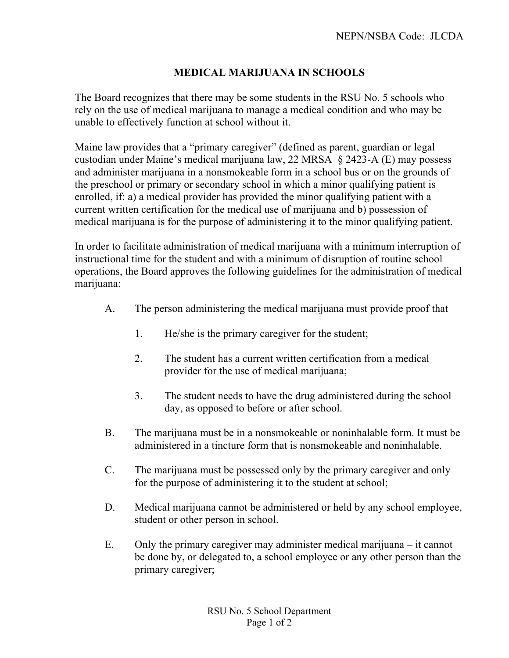## **MEDICAL MARIJUANA IN SCHOOLS**

The Board recognizes that there may be some students in the RSU No. 5 schools who rely on the use of medical marijuana to manage a medical condition and who may be unable to effectively function at school without it.

Maine law provides that a "primary caregiver" (defined as parent, guardian or legal custodian under Maine's medical marijuana law, 22 MRSA § 2423-A (E) may possess and administer marijuana in a nonsmokeable form in a school bus or on the grounds of the preschool or primary or secondary school in which a minor qualifying patient is enrolled, if: a) a medical provider has provided the minor qualifying patient with a current written certification for the medical use of marijuana and b) possession of medical marijuana is for the purpose of administering it to the minor qualifying patient.

In order to facilitate administration of medical marijuana with a minimum interruption of instructional time for the student and with a minimum of disruption of routine school operations, the Board approves the following guidelines for the administration of medical marijuana:

- A. The person administering the medical marijuana must provide proof that
	- 1. He/she is the primary caregiver for the student;
	- 2. The student has a current written certification from a medical provider for the use of medical marijuana;
	- 3. The student needs to have the drug administered during the school day, as opposed to before or after school.
- B. The marijuana must be in a nonsmokeable or noninhalable form. It must be administered in a tincture form that is nonsmokeable and noninhalable.
- C. The marijuana must be possessed only by the primary caregiver and only for the purpose of administering it to the student at school;
- D. Medical marijuana cannot be administered or held by any school employee, student or other person in school.
- E. Only the primary caregiver may administer medical marijuana it cannot be done by, or delegated to, a school employee or any other person than the primary caregiver;